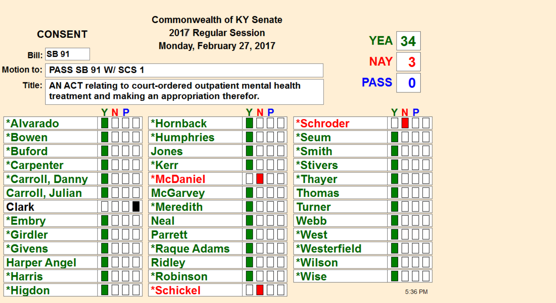| <b>Commonwealth of KY Senate</b> |                    |                                                                                                                                           |                     |                        |            |              |         |  |
|----------------------------------|--------------------|-------------------------------------------------------------------------------------------------------------------------------------------|---------------------|------------------------|------------|--------------|---------|--|
| <b>CONSENT</b>                   |                    | 2017 Regular Session<br>Monday, February 27, 2017                                                                                         |                     | YEA                    | 34         |              |         |  |
|                                  | <b>Bill: SB 91</b> |                                                                                                                                           |                     |                        | <b>NAY</b> | 3            |         |  |
| <b>Motion to:</b>                |                    | <b>PASS SB 91 W/ SCS 1</b>                                                                                                                |                     |                        |            |              |         |  |
|                                  |                    | <b>PASS</b><br>0<br>Title:   AN ACT relating to court-ordered outpatient mental health<br>treatment and making an appropriation therefor. |                     |                        |            |              |         |  |
|                                  |                    | YNP                                                                                                                                       |                     | YNP                    |            |              | YNP     |  |
| <b>*Alvarado</b>                 |                    |                                                                                                                                           | *Hornback           |                        | *Schroder  |              |         |  |
| *Bowen                           |                    |                                                                                                                                           | <b>*Humphries</b>   |                        | *Seum      |              |         |  |
| *Buford                          |                    |                                                                                                                                           | <b>Jones</b>        |                        | *Smith     |              |         |  |
| *Carpenter                       |                    | *Kerr                                                                                                                                     |                     | <i><b>*Stivers</b></i> |            |              |         |  |
| *Carroll, Danny                  |                    | <b>*McDaniel</b>                                                                                                                          |                     | *Thayer                |            |              |         |  |
| <b>Carroll, Julian</b>           |                    | <b>McGarvey</b>                                                                                                                           |                     | Thomas                 |            |              |         |  |
| <b>Clark</b>                     |                    |                                                                                                                                           | *Meredith           |                        | Turner     |              |         |  |
| *Embry                           |                    |                                                                                                                                           | <b>Neal</b>         |                        | Webb       |              |         |  |
| *Girdler                         |                    |                                                                                                                                           | <b>Parrett</b>      |                        | *West      |              |         |  |
| <b>*Givens</b>                   |                    |                                                                                                                                           | <b>*Raque Adams</b> |                        |            | *Westerfield |         |  |
| <b>Harper Angel</b>              |                    |                                                                                                                                           | <b>Ridley</b>       |                        | *Wilson    |              |         |  |
| <b>*Harris</b>                   |                    |                                                                                                                                           | <b>*Robinson</b>    |                        | *Wise      |              |         |  |
| *Higdon                          |                    |                                                                                                                                           | *Schickel           |                        |            |              | 5:36 PM |  |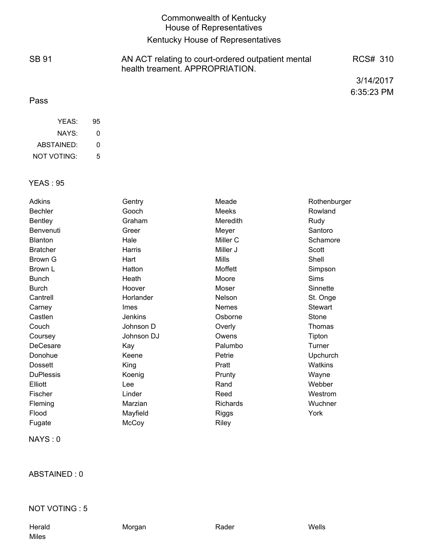# Commonwealth of Kentucky House of Representatives

# Kentucky House of Representatives

AN ACT relating to court-ordered outpatient mental

health treament. APPROPRIATION.

SB 91

RCS# 310

3/14/2017 6:35:23 PM

#### Pass

| YFAS:       | 95 |
|-------------|----|
| NAYS:       | O  |
| ABSTAINED:  | ŋ  |
| NOT VOTING: | 5  |

#### YEAS : 95

| <b>Adkins</b>    | Gentry      | Meade        | Rothenburger   |
|------------------|-------------|--------------|----------------|
| <b>Bechler</b>   | Gooch       | Meeks        | Rowland        |
| <b>Bentley</b>   | Graham      | Meredith     | Rudy           |
| Benvenuti        | Greer       | Meyer        | Santoro        |
| <b>Blanton</b>   | Hale        | Miller C     | Schamore       |
| <b>Bratcher</b>  | Harris      | Miller J     | Scott          |
| Brown G          | Hart        | <b>Mills</b> | Shell          |
| Brown L          | Hatton      | Moffett      | Simpson        |
| <b>Bunch</b>     | Heath       | Moore        | <b>Sims</b>    |
| <b>Burch</b>     | Hoover      | Moser        | Sinnette       |
| Cantrell         | Horlander   | Nelson       | St. Onge       |
| Carney           | <b>Imes</b> | <b>Nemes</b> | <b>Stewart</b> |
| Castlen          | Jenkins     | Osborne      | Stone          |
| Couch            | Johnson D   | Overly       | Thomas         |
| Coursey          | Johnson DJ  | Owens        | Tipton         |
| DeCesare         | Kay         | Palumbo      | Turner         |
| Donohue          | Keene       | Petrie       | Upchurch       |
| <b>Dossett</b>   | King        | Pratt        | <b>Watkins</b> |
| <b>DuPlessis</b> | Koenig      | Prunty       | Wayne          |
| Elliott          | Lee         | Rand         | Webber         |
| Fischer          | Linder      | Reed         | Westrom        |
| Fleming          | Marzian     | Richards     | Wuchner        |
| Flood            | Mayfield    | <b>Riggs</b> | York           |
| Fugate           | McCoy       | Riley        |                |

NAYS : 0

ABSTAINED : 0

#### NOT VOTING : 5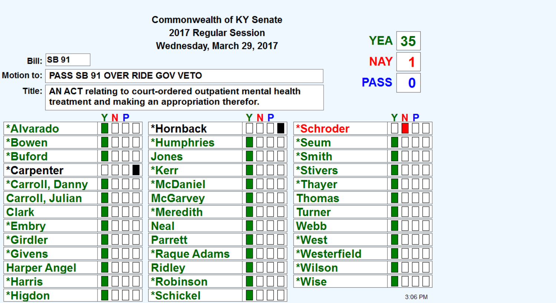|                           |                                                                                                                                  |     | <b>Commonwealth of KY Senate</b>     |           |              |            |         |  |
|---------------------------|----------------------------------------------------------------------------------------------------------------------------------|-----|--------------------------------------|-----------|--------------|------------|---------|--|
| 2017 Regular Session      |                                                                                                                                  |     |                                      |           |              |            |         |  |
| Wednesday, March 29, 2017 |                                                                                                                                  |     |                                      |           | <b>YEA</b>   | 35         |         |  |
| <b>Bill: SB 91</b>        |                                                                                                                                  |     |                                      |           |              | <b>NAY</b> | 1       |  |
| Motion to:                |                                                                                                                                  |     | <b>PASS SB 91 OVER RIDE GOV VETO</b> |           |              |            |         |  |
| Title:                    | <b>PASS</b><br>0<br>AN ACT relating to court-ordered outpatient mental health<br>treatment and making an appropriation therefor. |     |                                      |           |              |            |         |  |
|                           |                                                                                                                                  | YNP |                                      | <b>NP</b> |              |            | YNP     |  |
| <b>*Alvarado</b>          |                                                                                                                                  |     | *Hornback                            |           | *Schroder    |            |         |  |
| *Bowen                    |                                                                                                                                  |     | *Humphries                           |           | *Seum        |            |         |  |
| *Buford                   |                                                                                                                                  |     | Jones                                |           | *Smith       |            |         |  |
| *Carpenter                |                                                                                                                                  |     | *Kerr                                |           | *Stivers     |            |         |  |
| *Carroll, Danny           |                                                                                                                                  |     | <b>*McDaniel</b>                     |           | *Thayer      |            |         |  |
| <b>Carroll, Julian</b>    |                                                                                                                                  |     | <b>McGarvey</b>                      |           | Thomas       |            |         |  |
| <b>Clark</b>              |                                                                                                                                  |     | *Meredith                            |           | Turner       |            |         |  |
| *Embry                    |                                                                                                                                  |     | <b>Neal</b>                          |           | Webb         |            |         |  |
| *Girdler                  |                                                                                                                                  |     | <b>Parrett</b>                       |           | *West        |            |         |  |
| <i><b>*Givens</b></i>     |                                                                                                                                  |     | <b>*Raque Adams</b>                  |           | *Westerfield |            |         |  |
| <b>Harper Angel</b>       |                                                                                                                                  |     | <b>Ridley</b>                        |           | *Wilson      |            |         |  |
| *Harris                   |                                                                                                                                  |     | <b>*Robinson</b>                     |           | *Wise        |            |         |  |
| *Higdon                   |                                                                                                                                  |     | *Schickel                            |           |              |            | 3:06 PM |  |